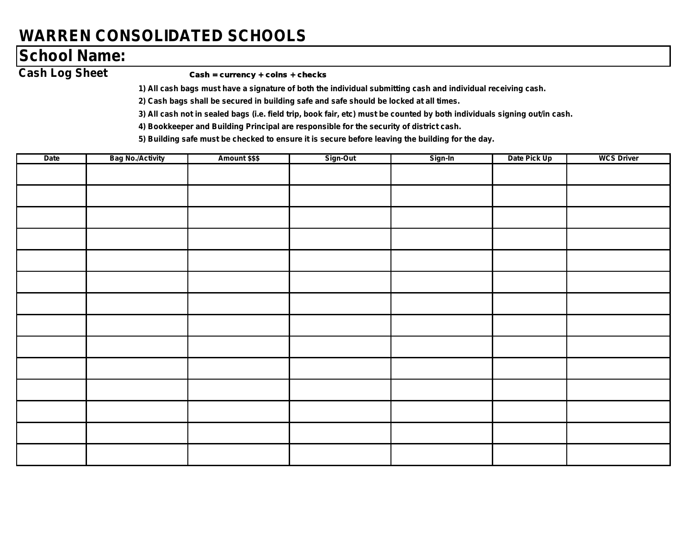## **WARREN CONSOLIDATED SCHOOLS**

## **School Name:**

#### Cash Log Sheet Cash = currency + coins + checks

*1) All cash bags must have a signature of both the individual submitting cash and individual receiving cash.*

*2) Cash bags shall be secured in building safe and safe should be locked at all times.*

*3) All cash not in sealed bags (i.e. field trip, book fair, etc) must be counted by both individuals signing out/in cash.*

*4) Bookkeeper and Building Principal are responsible for the security of district cash.*

*5) Building safe must be checked to ensure it is secure before leaving the building for the day.*

| Date | <b>Bag No./Activity</b> | Amount \$\$\$ | Sign-Out | Sign-In | Date Pick Up | <b>WCS Driver</b> |
|------|-------------------------|---------------|----------|---------|--------------|-------------------|
|      |                         |               |          |         |              |                   |
|      |                         |               |          |         |              |                   |
|      |                         |               |          |         |              |                   |
|      |                         |               |          |         |              |                   |
|      |                         |               |          |         |              |                   |
|      |                         |               |          |         |              |                   |
|      |                         |               |          |         |              |                   |
|      |                         |               |          |         |              |                   |
|      |                         |               |          |         |              |                   |
|      |                         |               |          |         |              |                   |
|      |                         |               |          |         |              |                   |
|      |                         |               |          |         |              |                   |
|      |                         |               |          |         |              |                   |
|      |                         |               |          |         |              |                   |